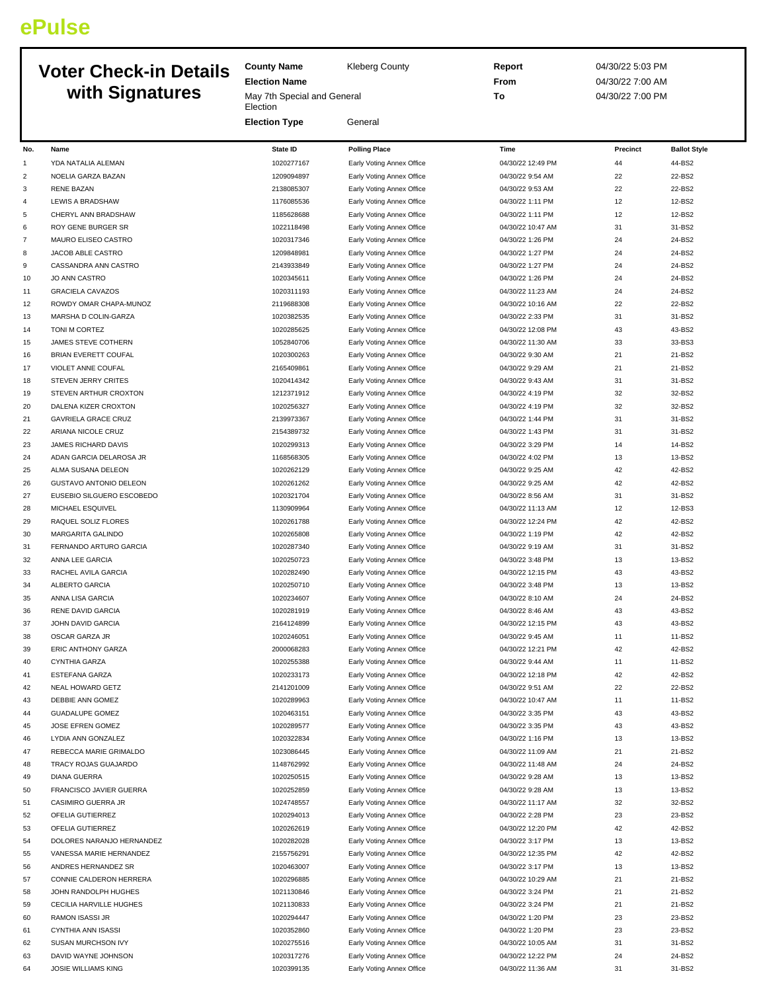## **ePulse**

## **Voter Check-in Details with S**

| <b>UILLUITII DULAID</b> |                                              | <b>Election Name</b>                    |                                                        | From                                 | 04/30/22 7:00 AM |                     |
|-------------------------|----------------------------------------------|-----------------------------------------|--------------------------------------------------------|--------------------------------------|------------------|---------------------|
|                         | with Signatures                              | May 7th Special and General<br>Election |                                                        | To                                   | 04/30/22 7:00 PM |                     |
|                         |                                              | <b>Election Type</b>                    | General                                                |                                      |                  |                     |
| No.                     | Name                                         | <b>State ID</b>                         | <b>Polling Place</b>                                   | Time                                 | Precinct         | <b>Ballot Style</b> |
| $\mathbf{1}$            | YDA NATALIA ALEMAN                           | 1020277167                              | Early Voting Annex Office                              | 04/30/22 12:49 PM                    | 44               | 44-BS2              |
| 2                       | NOELIA GARZA BAZAN                           | 1209094897                              | Early Voting Annex Office                              | 04/30/22 9:54 AM                     | 22               | 22-BS2              |
| 3                       | <b>RENE BAZAN</b>                            | 2138085307                              | Early Voting Annex Office                              | 04/30/22 9:53 AM                     | 22               | 22-BS2              |
| 4                       | LEWIS A BRADSHAW                             | 1176085536                              | Early Voting Annex Office                              | 04/30/22 1:11 PM                     | 12               | 12-BS2              |
| 5                       | CHERYL ANN BRADSHAW                          | 1185628688                              | Early Voting Annex Office                              | 04/30/22 1:11 PM                     | 12               | 12-BS2              |
| 6                       | ROY GENE BURGER SR                           | 1022118498                              | Early Voting Annex Office                              | 04/30/22 10:47 AM                    | 31               | 31-BS2              |
| 7                       | MAURO ELISEO CASTRO                          | 1020317346                              | Early Voting Annex Office                              | 04/30/22 1:26 PM                     | 24               | 24-BS2              |
| 8                       | JACOB ABLE CASTRO                            | 1209848981                              | Early Voting Annex Office                              | 04/30/22 1:27 PM                     | 24               | 24-BS2              |
| 9                       | CASSANDRA ANN CASTRO                         | 2143933849                              | Early Voting Annex Office                              | 04/30/22 1:27 PM                     | 24               | 24-BS2              |
| 10                      | <b>JO ANN CASTRO</b>                         | 1020345611                              | Early Voting Annex Office                              | 04/30/22 1:26 PM                     | 24               | 24-BS2              |
| 11                      | <b>GRACIELA CAVAZOS</b>                      | 1020311193                              | Early Voting Annex Office                              | 04/30/22 11:23 AM                    | 24               | 24-BS2              |
| 12                      | ROWDY OMAR CHAPA-MUNOZ                       | 2119688308                              | Early Voting Annex Office                              | 04/30/22 10:16 AM                    | 22               | 22-BS2              |
| 13                      | MARSHA D COLIN-GARZA                         | 1020382535                              | Early Voting Annex Office                              | 04/30/22 2:33 PM                     | 31               | 31-BS2              |
| 14                      | TONI M CORTEZ                                | 1020285625                              | Early Voting Annex Office                              | 04/30/22 12:08 PM                    | 43               | 43-BS2              |
| 15                      | JAMES STEVE COTHERN                          | 1052840706                              | Early Voting Annex Office                              | 04/30/22 11:30 AM                    | 33               | 33-BS3              |
| 16                      | BRIAN EVERETT COUFAL                         | 1020300263                              | Early Voting Annex Office                              | 04/30/22 9:30 AM                     | 21               | 21-BS2              |
| 17                      | VIOLET ANNE COUFAL                           | 2165409861                              | Early Voting Annex Office                              | 04/30/22 9:29 AM                     | 21               | 21-BS2              |
| 18                      | STEVEN JERRY CRITES                          | 1020414342                              | Early Voting Annex Office                              | 04/30/22 9:43 AM                     | 31               | 31-BS2              |
| 19                      | STEVEN ARTHUR CROXTON                        | 1212371912                              | Early Voting Annex Office                              | 04/30/22 4:19 PM                     | 32               | 32-BS2              |
| 20                      | DALENA KIZER CROXTON                         | 1020256327                              | Early Voting Annex Office                              | 04/30/22 4:19 PM                     | 32               | 32-BS2              |
| 21                      | <b>GAVRIELA GRACE CRUZ</b>                   | 2139973367                              | Early Voting Annex Office                              | 04/30/22 1:44 PM                     | 31               | 31-BS2              |
| 22                      | ARIANA NICOLE CRUZ                           | 2154389732                              | Early Voting Annex Office                              | 04/30/22 1:43 PM                     | 31               | 31-BS2              |
| 23                      | JAMES RICHARD DAVIS                          | 1020299313                              | Early Voting Annex Office                              | 04/30/22 3:29 PM                     | 14               | 14-BS2              |
| 24                      | ADAN GARCIA DELAROSA JR                      | 1168568305                              | Early Voting Annex Office                              | 04/30/22 4:02 PM                     | 13               | 13-BS2              |
| 25                      | ALMA SUSANA DELEON                           | 1020262129                              | Early Voting Annex Office                              | 04/30/22 9:25 AM                     | 42               | 42-BS2              |
| 26                      | GUSTAVO ANTONIO DELEON                       | 1020261262                              | Early Voting Annex Office                              | 04/30/22 9:25 AM                     | 42               | 42-BS2              |
| 27                      | EUSEBIO SILGUERO ESCOBEDO                    | 1020321704                              | Early Voting Annex Office                              | 04/30/22 8:56 AM                     | 31               | 31-BS2              |
| 28                      | MICHAEL ESQUIVEL                             | 1130909964                              | Early Voting Annex Office                              | 04/30/22 11:13 AM                    | 12               | 12-BS3              |
| 29                      | RAQUEL SOLIZ FLORES                          | 1020261788                              | Early Voting Annex Office                              | 04/30/22 12:24 PM                    | 42               | 42-BS2              |
| 30                      | MARGARITA GALINDO                            | 1020265808                              | Early Voting Annex Office                              | 04/30/22 1:19 PM                     | 42               | 42-BS2              |
| 31                      | FERNANDO ARTURO GARCIA                       | 1020287340                              | Early Voting Annex Office                              | 04/30/22 9:19 AM                     | 31               | 31-BS2              |
| 32                      | ANNA LEE GARCIA                              | 1020250723                              | Early Voting Annex Office                              | 04/30/22 3:48 PM                     | 13               | 13-BS2              |
| 33                      | RACHEL AVILA GARCIA<br><b>ALBERTO GARCIA</b> | 1020282490                              | Early Voting Annex Office                              | 04/30/22 12:15 PM                    | 43               | 43-BS2              |
| 34                      |                                              | 1020250710                              | Early Voting Annex Office                              | 04/30/22 3:48 PM                     | 13               | 13-BS2              |
| 35                      | ANNA LISA GARCIA                             | 1020234607<br>1020281919                | Early Voting Annex Office<br>Early Voting Annex Office | 04/30/22 8:10 AM<br>04/30/22 8:46 AM | 24<br>43         | 24-BS2<br>43-BS2    |
| 36<br>37                | RENE DAVID GARCIA<br>JOHN DAVID GARCIA       | 2164124899                              | Early Voting Annex Office                              | 04/30/22 12:15 PM                    | 43               | 43-BS2              |
| 38                      | OSCAR GARZA JR                               | 1020246051                              |                                                        | 04/30/22 9:45 AM                     |                  | 11-BS2              |
| 39                      | ERIC ANTHONY GARZA                           | 2000068283                              | Early Voting Annex Office<br>Early Voting Annex Office | 04/30/22 12:21 PM                    | 42               | 42-BS2              |
| 40                      | <b>CYNTHIA GARZA</b>                         | 1020255388                              | Early Voting Annex Office                              | 04/30/22 9:44 AM                     | 11               | 11-BS2              |
| 41                      | <b>ESTEFANA GARZA</b>                        | 1020233173                              | Early Voting Annex Office                              | 04/30/22 12:18 PM                    | 42               | 42-BS2              |
| 42                      | NEAL HOWARD GETZ                             | 2141201009                              | Early Voting Annex Office                              | 04/30/22 9:51 AM                     | 22               | 22-BS2              |
| 43                      | DEBBIE ANN GOMEZ                             | 1020289963                              | Early Voting Annex Office                              | 04/30/22 10:47 AM                    | 11               | 11-BS2              |
| 44                      | <b>GUADALUPE GOMEZ</b>                       | 1020463151                              | Early Voting Annex Office                              | 04/30/22 3:35 PM                     | 43               | 43-BS2              |
| 45                      | JOSE EFREN GOMEZ                             | 1020289577                              | Early Voting Annex Office                              | 04/30/22 3:35 PM                     | 43               | 43-BS2              |
| 46                      | LYDIA ANN GONZALEZ                           | 1020322834                              | Early Voting Annex Office                              | 04/30/22 1:16 PM                     | 13               | 13-BS2              |
| 47                      | REBECCA MARIE GRIMALDO                       | 1023086445                              | Early Voting Annex Office                              | 04/30/22 11:09 AM                    | 21               | 21-BS2              |
| 48                      | TRACY ROJAS GUAJARDO                         | 1148762992                              | Early Voting Annex Office                              | 04/30/22 11:48 AM                    | 24               | 24-BS2              |
| 49                      | <b>DIANA GUERRA</b>                          | 1020250515                              | Early Voting Annex Office                              | 04/30/22 9:28 AM                     | 13               | 13-BS2              |
| 50                      | FRANCISCO JAVIER GUERRA                      | 1020252859                              | Early Voting Annex Office                              | 04/30/22 9:28 AM                     | 13               | 13-BS2              |
| 51                      | CASIMIRO GUERRA JR                           | 1024748557                              | Early Voting Annex Office                              | 04/30/22 11:17 AM                    | 32               | 32-BS2              |
| 52                      | OFELIA GUTIERREZ                             | 1020294013                              | Early Voting Annex Office                              | 04/30/22 2:28 PM                     | 23               | 23-BS2              |
| 53                      | OFELIA GUTIERREZ                             | 1020262619                              | Early Voting Annex Office                              | 04/30/22 12:20 PM                    | 42               | 42-BS2              |
| 54                      | DOLORES NARANJO HERNANDEZ                    | 1020282028                              | Early Voting Annex Office                              | 04/30/22 3:17 PM                     | 13               | 13-BS2              |
| 55                      | VANESSA MARIE HERNANDEZ                      | 2155756291                              | Early Voting Annex Office                              | 04/30/22 12:35 PM                    | 42               | 42-BS2              |
| 56                      | ANDRES HERNANDEZ SR                          | 1020463007                              | Early Voting Annex Office                              | 04/30/22 3:17 PM                     | 13               | 13-BS2              |
| 57                      | CONNIE CALDERON HERRERA                      | 1020296885                              | Early Voting Annex Office                              | 04/30/22 10:29 AM                    | 21               | 21-BS2              |
| 58                      | JOHN RANDOLPH HUGHES                         | 1021130846                              | Early Voting Annex Office                              | 04/30/22 3:24 PM                     | 21               | 21-BS2              |
| 59                      | CECILIA HARVILLE HUGHES                      | 1021130833                              | Early Voting Annex Office                              | 04/30/22 3:24 PM                     | 21               | 21-BS2              |
| 60                      | RAMON ISASSI JR                              | 1020294447                              | Early Voting Annex Office                              | 04/30/22 1:20 PM                     | 23               | 23-BS2              |
| 61                      | CYNTHIA ANN ISASSI                           | 1020352860                              | Early Voting Annex Office                              | 04/30/22 1:20 PM                     | 23               | 23-BS2              |
| 62                      | SUSAN MURCHSON IVY                           | 1020275516                              | Early Voting Annex Office                              | 04/30/22 10:05 AM                    | 31               | 31-BS2              |
| 63                      | DAVID WAYNE JOHNSON                          | 1020317276                              | Early Voting Annex Office                              | 04/30/22 12:22 PM                    | 24               | 24-BS2              |
| 64                      | JOSIE WILLIAMS KING                          | 1020399135                              | Early Voting Annex Office                              | 04/30/22 11:36 AM                    | 31               | 31-BS2              |

**County Name** Kleberg County

**Report** 04/30/22 5:03 PM